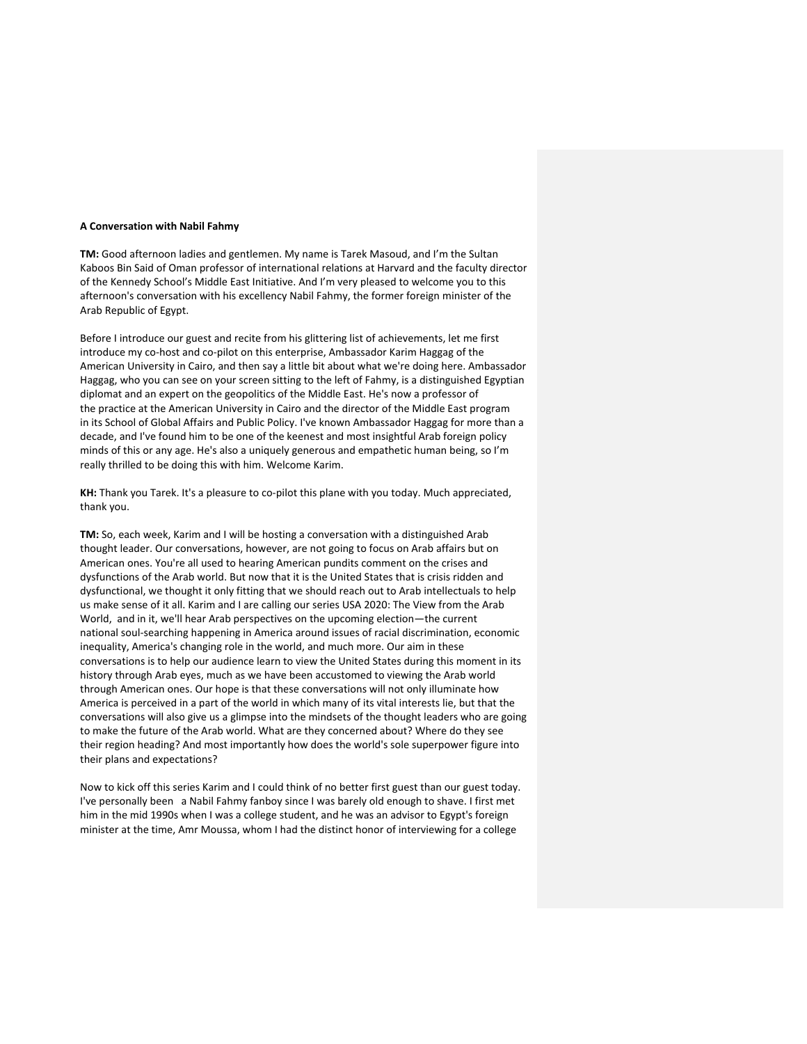## **A Conversation with Nabil Fahmy**

**TM:** Good afternoon ladies and gentlemen. My name is Tarek Masoud, and I'm the Sultan Kaboos Bin Said of Oman professor of international relations at Harvard and the faculty director of the Kennedy School's Middle East Initiative. And I'm very pleased to welcome you to this afternoon's conversation with his excellency Nabil Fahmy, the former foreign minister of the Arab Republic of Egypt.

Before I introduce our guest and recite from his glittering list of achievements, let me first introduce my co-host and co-pilot on this enterprise, Ambassador Karim Haggag of the American University in Cairo, and then say a little bit about what we're doing here. Ambassador Haggag, who you can see on your screen sitting to the left of Fahmy, is a distinguished Egyptian diplomat and an expert on the geopolitics of the Middle East. He's now a professor of the practice at the American University in Cairo and the director of the Middle East program in its School of Global Affairs and Public Policy. I've known Ambassador Haggag for more than a decade, and I've found him to be one of the keenest and most insightful Arab foreign policy minds of this or any age. He's also a uniquely generous and empathetic human being, so I'm really thrilled to be doing this with him. Welcome Karim.

**KH:** Thank you Tarek. It's a pleasure to co-pilot this plane with you today. Much appreciated, thank you.

**TM:** So, each week, Karim and I will be hosting a conversation with a distinguished Arab thought leader. Our conversations, however, are not going to focus on Arab affairs but on American ones. You're all used to hearing American pundits comment on the crises and dysfunctions of the Arab world. But now that it is the United States that is crisis ridden and dysfunctional, we thought it only fitting that we should reach out to Arab intellectuals to help us make sense of it all. Karim and I are calling our series USA 2020: The View from the Arab World, and in it, we'll hear Arab perspectives on the upcoming election—the current national soul-searching happening in America around issues of racial discrimination, economic inequality, America's changing role in the world, and much more. Our aim in these conversations is to help our audience learn to view the United States during this moment in its history through Arab eyes, much as we have been accustomed to viewing the Arab world through American ones. Our hope is that these conversations will not only illuminate how America is perceived in a part of the world in which many of its vital interests lie, but that the conversations will also give us a glimpse into the mindsets of the thought leaders who are going to make the future of the Arab world. What are they concerned about? Where do they see their region heading? And most importantly how does the world's sole superpower figure into their plans and expectations?

Now to kick off this series Karim and I could think of no better first guest than our guest today. I've personally been a Nabil Fahmy fanboy since I was barely old enough to shave. I first met him in the mid 1990s when I was a college student, and he was an advisor to Egypt's foreign minister at the time, Amr Moussa, whom I had the distinct honor of interviewing for a college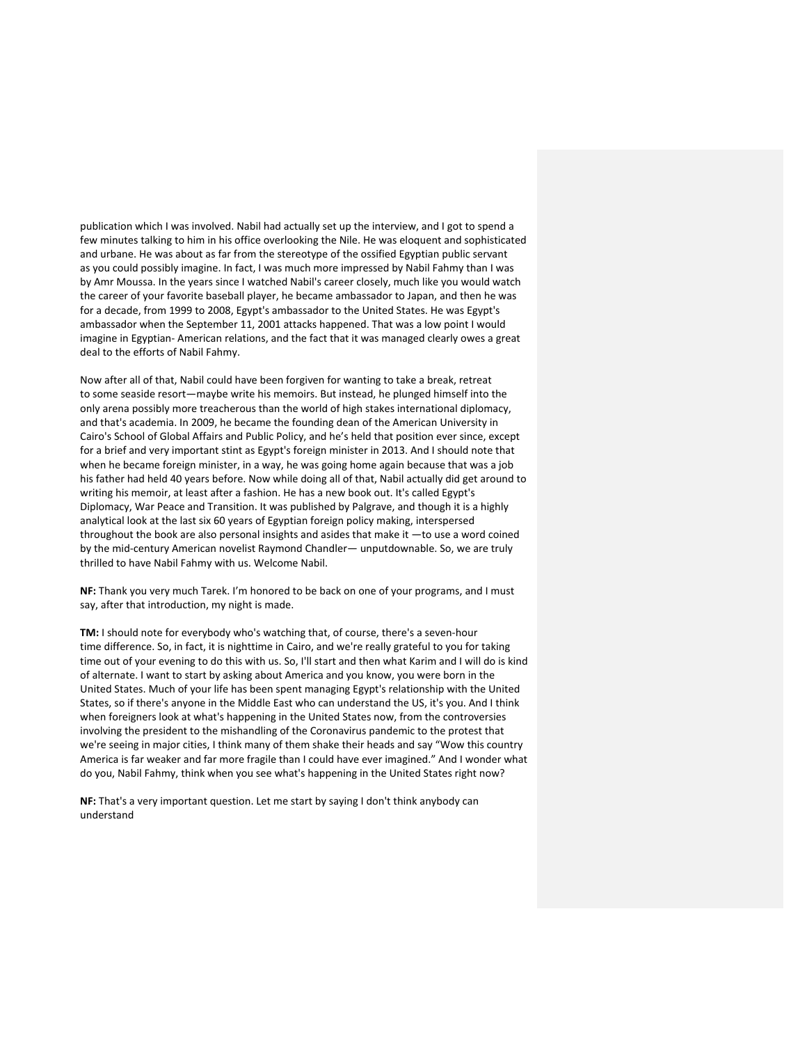publication which I was involved. Nabil had actually set up the interview, and I got to spend a few minutes talking to him in his office overlooking the Nile. He was eloquent and sophisticated and urbane. He was about as far from the stereotype of the ossified Egyptian public servant as you could possibly imagine. In fact, I was much more impressed by Nabil Fahmy than I was by Amr Moussa. In the years since I watched Nabil's career closely, much like you would watch the career of your favorite baseball player, he became ambassador to Japan, and then he was for a decade, from 1999 to 2008, Egypt's ambassador to the United States. He was Egypt's ambassador when the September 11, 2001 attacks happened. That was a low point I would imagine in Egyptian- American relations, and the fact that it was managed clearly owes a great deal to the efforts of Nabil Fahmy.

Now after all of that, Nabil could have been forgiven for wanting to take a break, retreat to some seaside resort—maybe write his memoirs. But instead, he plunged himself into the only arena possibly more treacherous than the world of high stakes international diplomacy, and that's academia. In 2009, he became the founding dean of the American University in Cairo's School of Global Affairs and Public Policy, and he's held that position ever since, except for a brief and very important stint as Egypt's foreign minister in 2013. And I should note that when he became foreign minister, in a way, he was going home again because that was a job his father had held 40 years before. Now while doing all of that, Nabil actually did get around to writing his memoir, at least after a fashion. He has a new book out. It's called Egypt's Diplomacy, War Peace and Transition. It was published by Palgrave, and though it is a highly analytical look at the last six 60 years of Egyptian foreign policy making, interspersed throughout the book are also personal insights and asides that make it —to use a word coined by the mid-century American novelist Raymond Chandler— unputdownable. So, we are truly thrilled to have Nabil Fahmy with us. Welcome Nabil.

**NF:** Thank you very much Tarek. I'm honored to be back on one of your programs, and I must say, after that introduction, my night is made.

**TM:** I should note for everybody who's watching that, of course, there's a seven-hour time difference. So, in fact, it is nighttime in Cairo, and we're really grateful to you for taking time out of your evening to do this with us. So, I'll start and then what Karim and I will do is kind of alternate. I want to start by asking about America and you know, you were born in the United States. Much of your life has been spent managing Egypt's relationship with the United States, so if there's anyone in the Middle East who can understand the US, it's you. And I think when foreigners look at what's happening in the United States now, from the controversies involving the president to the mishandling of the Coronavirus pandemic to the protest that we're seeing in major cities, I think many of them shake their heads and say "Wow this country America is far weaker and far more fragile than I could have ever imagined." And I wonder what do you, Nabil Fahmy, think when you see what's happening in the United States right now?

**NF:** That's a very important question. Let me start by saying I don't think anybody can understand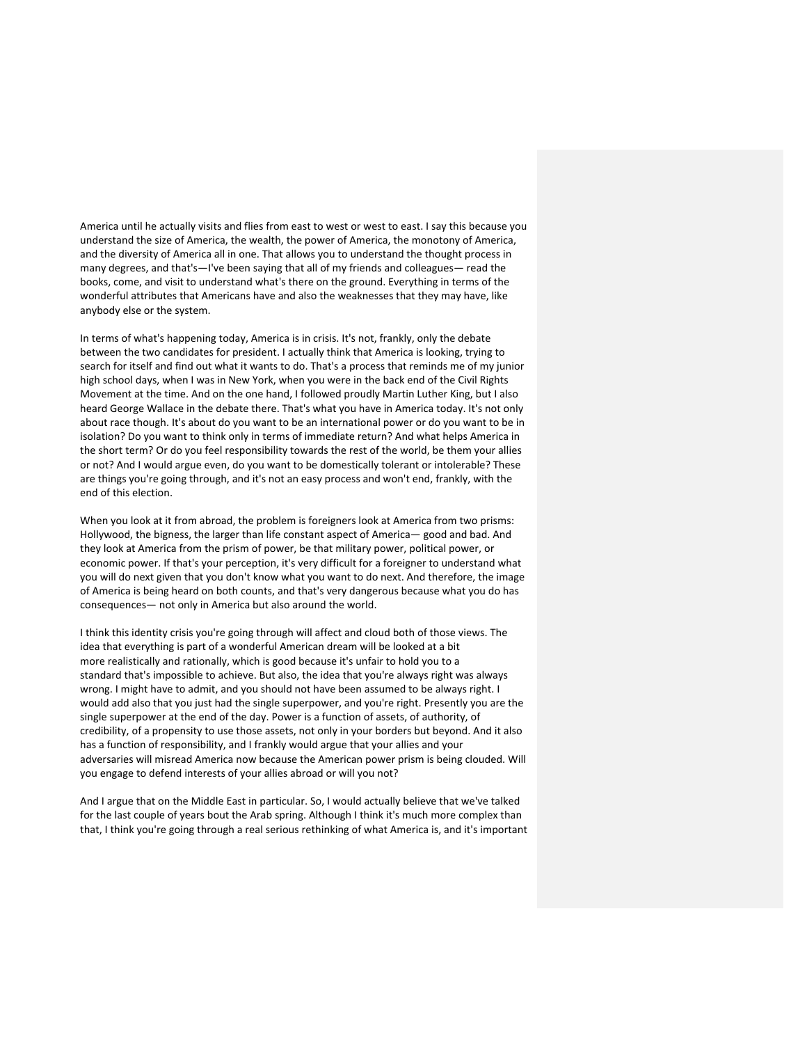America until he actually visits and flies from east to west or west to east. I say this because you understand the size of America, the wealth, the power of America, the monotony of America, and the diversity of America all in one. That allows you to understand the thought process in many degrees, and that's—I've been saying that all of my friends and colleagues— read the books, come, and visit to understand what's there on the ground. Everything in terms of the wonderful attributes that Americans have and also the weaknesses that they may have, like anybody else or the system.

In terms of what's happening today, America is in crisis. It's not, frankly, only the debate between the two candidates for president. I actually think that America is looking, trying to search for itself and find out what it wants to do. That's a process that reminds me of my junior high school days, when I was in New York, when you were in the back end of the Civil Rights Movement at the time. And on the one hand, I followed proudly Martin Luther King, but I also heard George Wallace in the debate there. That's what you have in America today. It's not only about race though. It's about do you want to be an international power or do you want to be in isolation? Do you want to think only in terms of immediate return? And what helps America in the short term? Or do you feel responsibility towards the rest of the world, be them your allies or not? And I would argue even, do you want to be domestically tolerant or intolerable? These are things you're going through, and it's not an easy process and won't end, frankly, with the end of this election.

When you look at it from abroad, the problem is foreigners look at America from two prisms: Hollywood, the bigness, the larger than life constant aspect of America— good and bad. And they look at America from the prism of power, be that military power, political power, or economic power. If that's your perception, it's very difficult for a foreigner to understand what you will do next given that you don't know what you want to do next. And therefore, the image of America is being heard on both counts, and that's very dangerous because what you do has consequences— not only in America but also around the world.

I think this identity crisis you're going through will affect and cloud both of those views. The idea that everything is part of a wonderful American dream will be looked at a bit more realistically and rationally, which is good because it's unfair to hold you to a standard that's impossible to achieve. But also, the idea that you're always right was always wrong. I might have to admit, and you should not have been assumed to be always right. I would add also that you just had the single superpower, and you're right. Presently you are the single superpower at the end of the day. Power is a function of assets, of authority, of credibility, of a propensity to use those assets, not only in your borders but beyond. And it also has a function of responsibility, and I frankly would argue that your allies and your adversaries will misread America now because the American power prism is being clouded. Will you engage to defend interests of your allies abroad or will you not?

And I argue that on the Middle East in particular. So, I would actually believe that we've talked for the last couple of years bout the Arab spring. Although I think it's much more complex than that, I think you're going through a real serious rethinking of what America is, and it's important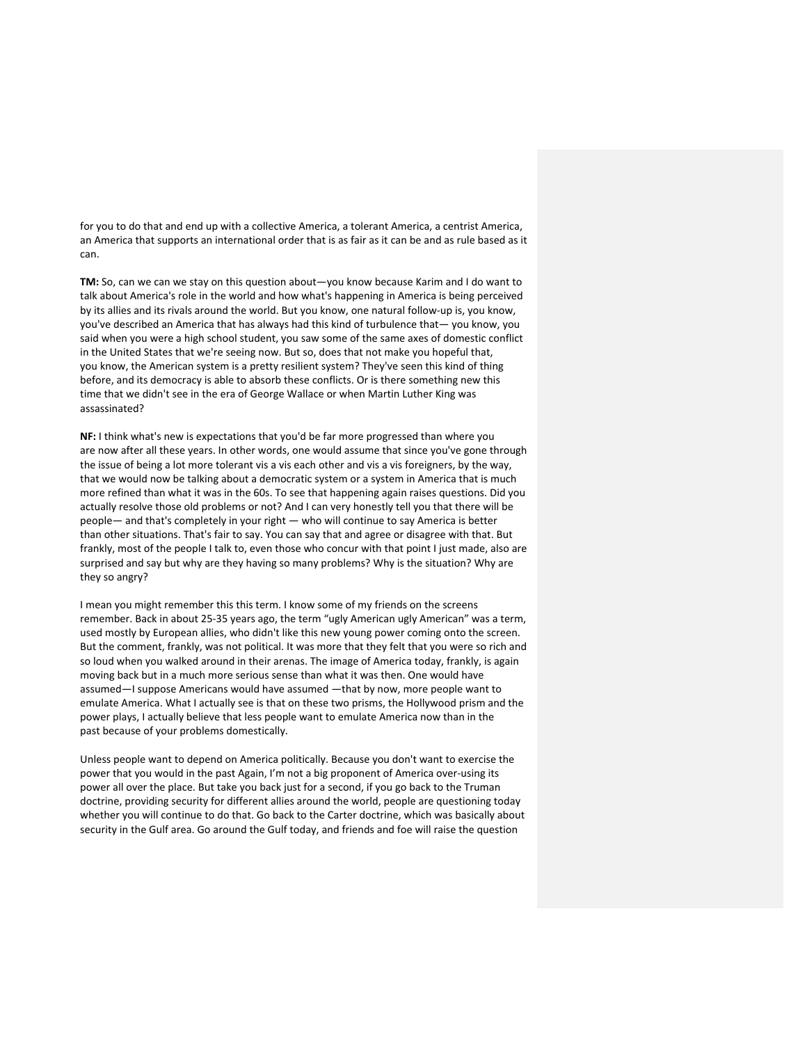for you to do that and end up with a collective America, a tolerant America, a centrist America, an America that supports an international order that is as fair as it can be and as rule based as it can.

**TM:** So, can we can we stay on this question about—you know because Karim and I do want to talk about America's role in the world and how what's happening in America is being perceived by its allies and its rivals around the world. But you know, one natural follow-up is, you know, you've described an America that has always had this kind of turbulence that— you know, you said when you were a high school student, you saw some of the same axes of domestic conflict in the United States that we're seeing now. But so, does that not make you hopeful that, you know, the American system is a pretty resilient system? They've seen this kind of thing before, and its democracy is able to absorb these conflicts. Or is there something new this time that we didn't see in the era of George Wallace or when Martin Luther King was assassinated?

**NF:** I think what's new is expectations that you'd be far more progressed than where you are now after all these years. In other words, one would assume that since you've gone through the issue of being a lot more tolerant vis a vis each other and vis a vis foreigners, by the way, that we would now be talking about a democratic system or a system in America that is much more refined than what it was in the 60s. To see that happening again raises questions. Did you actually resolve those old problems or not? And I can very honestly tell you that there will be people— and that's completely in your right — who will continue to say America is better than other situations. That's fair to say. You can say that and agree or disagree with that. But frankly, most of the people I talk to, even those who concur with that point I just made, also are surprised and say but why are they having so many problems? Why is the situation? Why are they so angry?

I mean you might remember this this term. I know some of my friends on the screens remember. Back in about 25-35 years ago, the term "ugly American ugly American" was a term, used mostly by European allies, who didn't like this new young power coming onto the screen. But the comment, frankly, was not political. It was more that they felt that you were so rich and so loud when you walked around in their arenas. The image of America today, frankly, is again moving back but in a much more serious sense than what it was then. One would have assumed—I suppose Americans would have assumed —that by now, more people want to emulate America. What I actually see is that on these two prisms, the Hollywood prism and the power plays, I actually believe that less people want to emulate America now than in the past because of your problems domestically.

Unless people want to depend on America politically. Because you don't want to exercise the power that you would in the past Again, I'm not a big proponent of America over-using its power all over the place. But take you back just for a second, if you go back to the Truman doctrine, providing security for different allies around the world, people are questioning today whether you will continue to do that. Go back to the Carter doctrine, which was basically about security in the Gulf area. Go around the Gulf today, and friends and foe will raise the question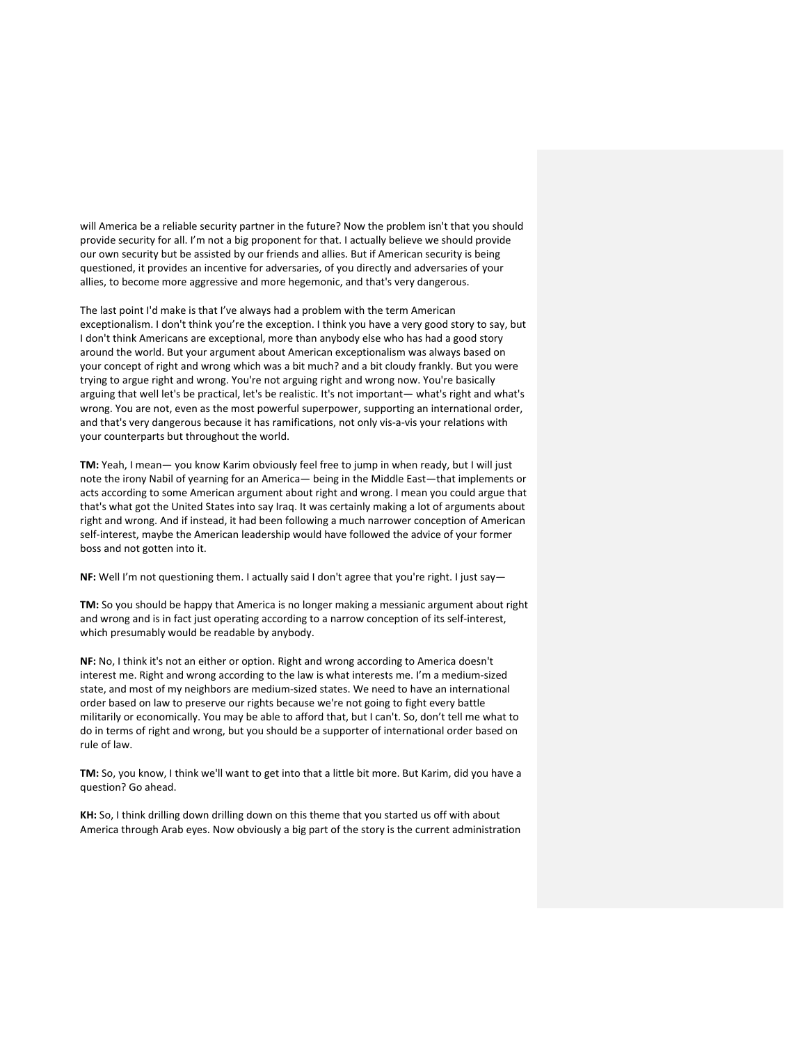will America be a reliable security partner in the future? Now the problem isn't that you should provide security for all. I'm not a big proponent for that. I actually believe we should provide our own security but be assisted by our friends and allies. But if American security is being questioned, it provides an incentive for adversaries, of you directly and adversaries of your allies, to become more aggressive and more hegemonic, and that's very dangerous.

The last point I'd make is that I've always had a problem with the term American exceptionalism. I don't think you're the exception. I think you have a very good story to say, but I don't think Americans are exceptional, more than anybody else who has had a good story around the world. But your argument about American exceptionalism was always based on your concept of right and wrong which was a bit much? and a bit cloudy frankly. But you were trying to argue right and wrong. You're not arguing right and wrong now. You're basically arguing that well let's be practical, let's be realistic. It's not important— what's right and what's wrong. You are not, even as the most powerful superpower, supporting an international order, and that's very dangerous because it has ramifications, not only vis-a-vis your relations with your counterparts but throughout the world.

**TM:** Yeah, I mean— you know Karim obviously feel free to jump in when ready, but I will just note the irony Nabil of yearning for an America— being in the Middle East—that implements or acts according to some American argument about right and wrong. I mean you could argue that that's what got the United States into say Iraq. It was certainly making a lot of arguments about right and wrong. And if instead, it had been following a much narrower conception of American self-interest, maybe the American leadership would have followed the advice of your former boss and not gotten into it.

**NF:** Well I'm not questioning them. I actually said I don't agree that you're right. I just say—

**TM:** So you should be happy that America is no longer making a messianic argument about right and wrong and is in fact just operating according to a narrow conception of its self-interest, which presumably would be readable by anybody.

**NF:** No, I think it's not an either or option. Right and wrong according to America doesn't interest me. Right and wrong according to the law is what interests me. I'm a medium-sized state, and most of my neighbors are medium-sized states. We need to have an international order based on law to preserve our rights because we're not going to fight every battle militarily or economically. You may be able to afford that, but I can't. So, don't tell me what to do in terms of right and wrong, but you should be a supporter of international order based on rule of law.

**TM:** So, you know, I think we'll want to get into that a little bit more. But Karim, did you have a question? Go ahead.

**KH:** So, I think drilling down drilling down on this theme that you started us off with about America through Arab eyes. Now obviously a big part of the story is the current administration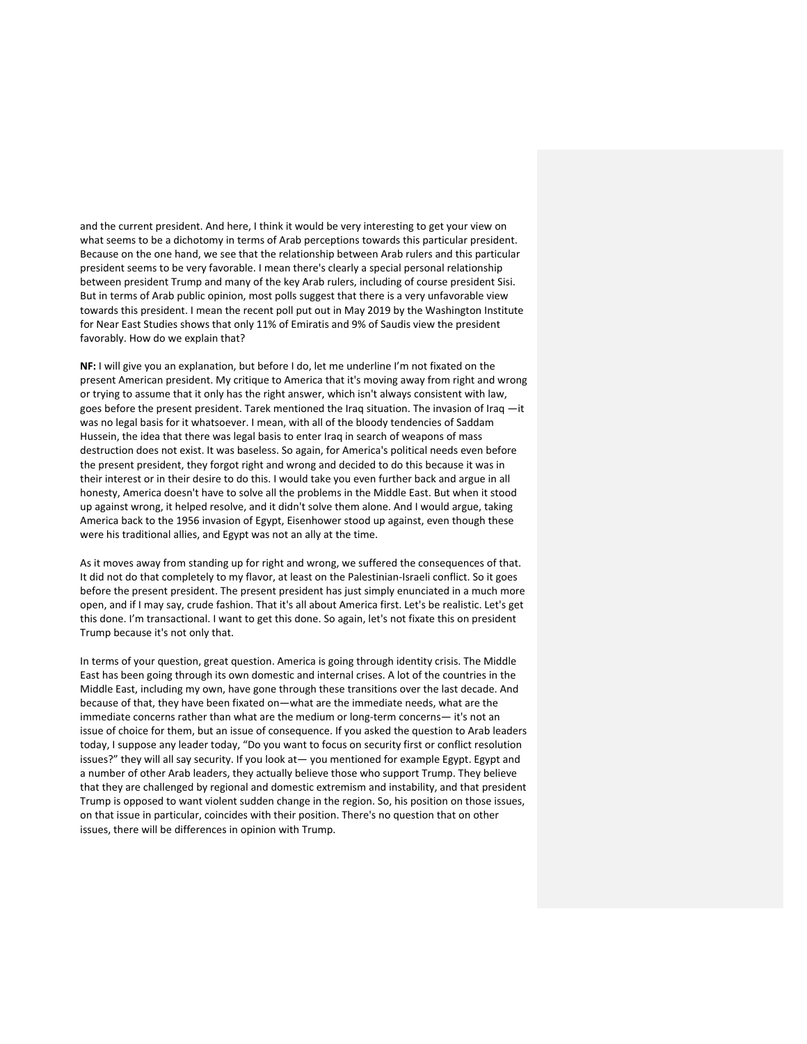and the current president. And here, I think it would be very interesting to get your view on what seems to be a dichotomy in terms of Arab perceptions towards this particular president. Because on the one hand, we see that the relationship between Arab rulers and this particular president seems to be very favorable. I mean there's clearly a special personal relationship between president Trump and many of the key Arab rulers, including of course president Sisi. But in terms of Arab public opinion, most polls suggest that there is a very unfavorable view towards this president. I mean the recent poll put out in May 2019 by the Washington Institute for Near East Studies shows that only 11% of Emiratis and 9% of Saudis view the president favorably. How do we explain that?

**NF:** I will give you an explanation, but before I do, let me underline I'm not fixated on the present American president. My critique to America that it's moving away from right and wrong or trying to assume that it only has the right answer, which isn't always consistent with law, goes before the present president. Tarek mentioned the Iraq situation. The invasion of Iraq —it was no legal basis for it whatsoever. I mean, with all of the bloody tendencies of Saddam Hussein, the idea that there was legal basis to enter Iraq in search of weapons of mass destruction does not exist. It was baseless. So again, for America's political needs even before the present president, they forgot right and wrong and decided to do this because it was in their interest or in their desire to do this. I would take you even further back and argue in all honesty, America doesn't have to solve all the problems in the Middle East. But when it stood up against wrong, it helped resolve, and it didn't solve them alone. And I would argue, taking America back to the 1956 invasion of Egypt, Eisenhower stood up against, even though these were his traditional allies, and Egypt was not an ally at the time.

As it moves away from standing up for right and wrong, we suffered the consequences of that. It did not do that completely to my flavor, at least on the Palestinian-Israeli conflict. So it goes before the present president. The present president has just simply enunciated in a much more open, and if I may say, crude fashion. That it's all about America first. Let's be realistic. Let's get this done. I'm transactional. I want to get this done. So again, let's not fixate this on president Trump because it's not only that.

In terms of your question, great question. America is going through identity crisis. The Middle East has been going through its own domestic and internal crises. A lot of the countries in the Middle East, including my own, have gone through these transitions over the last decade. And because of that, they have been fixated on—what are the immediate needs, what are the immediate concerns rather than what are the medium or long-term concerns— it's not an issue of choice for them, but an issue of consequence. If you asked the question to Arab leaders today, I suppose any leader today, "Do you want to focus on security first or conflict resolution issues?" they will all say security. If you look at— you mentioned for example Egypt. Egypt and a number of other Arab leaders, they actually believe those who support Trump. They believe that they are challenged by regional and domestic extremism and instability, and that president Trump is opposed to want violent sudden change in the region. So, his position on those issues, on that issue in particular, coincides with their position. There's no question that on other issues, there will be differences in opinion with Trump.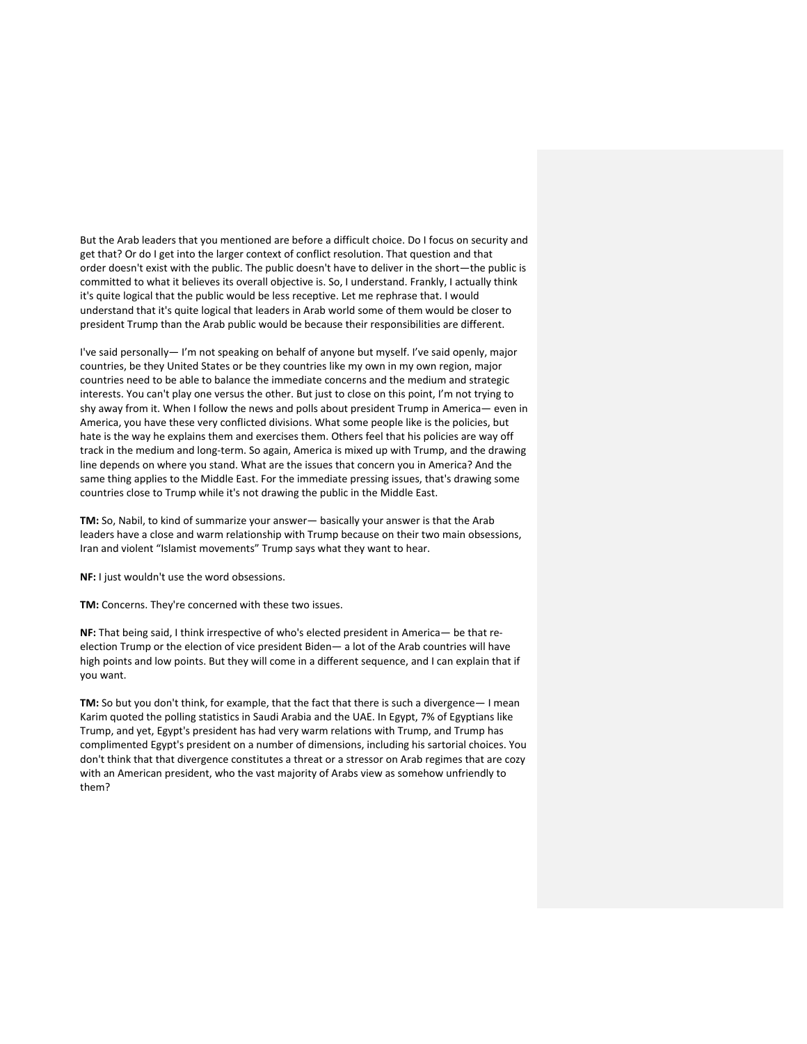But the Arab leaders that you mentioned are before a difficult choice. Do I focus on security and get that? Or do I get into the larger context of conflict resolution. That question and that order doesn't exist with the public. The public doesn't have to deliver in the short—the public is committed to what it believes its overall objective is. So, I understand. Frankly, I actually think it's quite logical that the public would be less receptive. Let me rephrase that. I would understand that it's quite logical that leaders in Arab world some of them would be closer to president Trump than the Arab public would be because their responsibilities are different.

I've said personally— I'm not speaking on behalf of anyone but myself. I've said openly, major countries, be they United States or be they countries like my own in my own region, major countries need to be able to balance the immediate concerns and the medium and strategic interests. You can't play one versus the other. But just to close on this point, I'm not trying to shy away from it. When I follow the news and polls about president Trump in America— even in America, you have these very conflicted divisions. What some people like is the policies, but hate is the way he explains them and exercises them. Others feel that his policies are way off track in the medium and long-term. So again, America is mixed up with Trump, and the drawing line depends on where you stand. What are the issues that concern you in America? And the same thing applies to the Middle East. For the immediate pressing issues, that's drawing some countries close to Trump while it's not drawing the public in the Middle East.

**TM:** So, Nabil, to kind of summarize your answer— basically your answer is that the Arab leaders have a close and warm relationship with Trump because on their two main obsessions, Iran and violent "Islamist movements" Trump says what they want to hear.

**NF:** I just wouldn't use the word obsessions.

**TM:** Concerns. They're concerned with these two issues.

**NF:** That being said, I think irrespective of who's elected president in America— be that reelection Trump or the election of vice president Biden— a lot of the Arab countries will have high points and low points. But they will come in a different sequence, and I can explain that if you want.

**TM:** So but you don't think, for example, that the fact that there is such a divergence— I mean Karim quoted the polling statistics in Saudi Arabia and the UAE. In Egypt, 7% of Egyptians like Trump, and yet, Egypt's president has had very warm relations with Trump, and Trump has complimented Egypt's president on a number of dimensions, including his sartorial choices. You don't think that that divergence constitutes a threat or a stressor on Arab regimes that are cozy with an American president, who the vast majority of Arabs view as somehow unfriendly to them?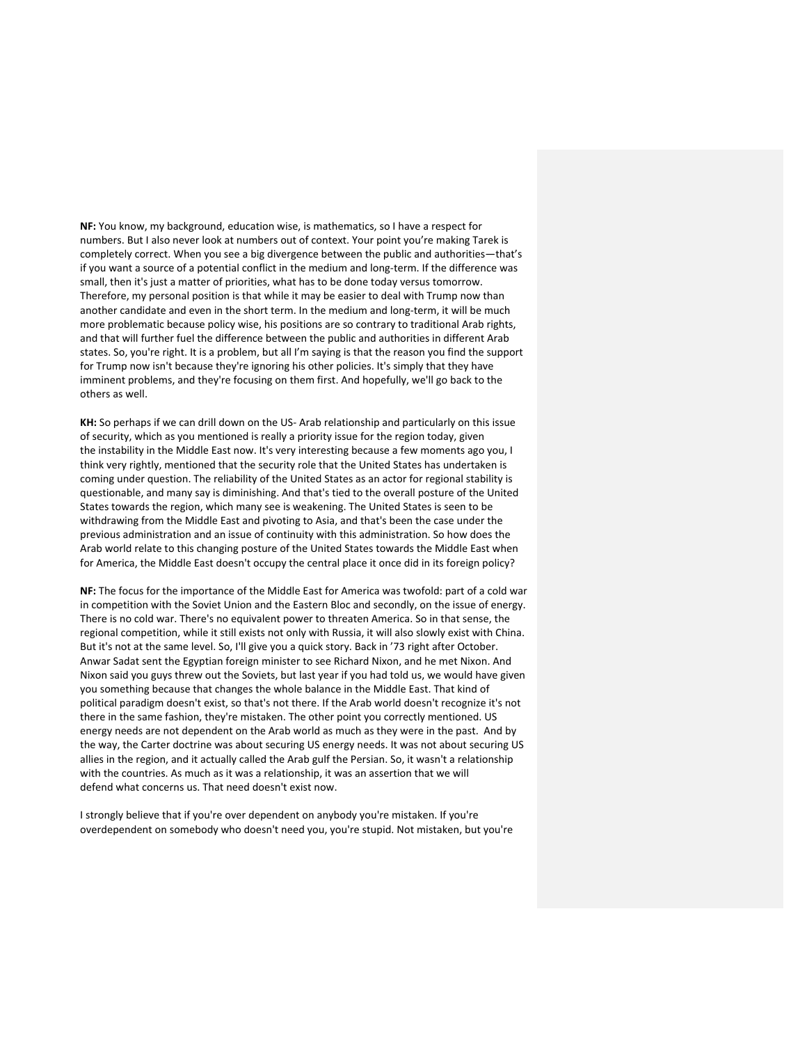**NF:** You know, my background, education wise, is mathematics, so I have a respect for numbers. But I also never look at numbers out of context. Your point you're making Tarek is completely correct. When you see a big divergence between the public and authorities—that's if you want a source of a potential conflict in the medium and long-term. If the difference was small, then it's just a matter of priorities, what has to be done today versus tomorrow. Therefore, my personal position is that while it may be easier to deal with Trump now than another candidate and even in the short term. In the medium and long-term, it will be much more problematic because policy wise, his positions are so contrary to traditional Arab rights, and that will further fuel the difference between the public and authorities in different Arab states. So, you're right. It is a problem, but all I'm saying is that the reason you find the support for Trump now isn't because they're ignoring his other policies. It's simply that they have imminent problems, and they're focusing on them first. And hopefully, we'll go back to the others as well.

**KH:** So perhaps if we can drill down on the US- Arab relationship and particularly on this issue of security, which as you mentioned is really a priority issue for the region today, given the instability in the Middle East now. It's very interesting because a few moments ago you, I think very rightly, mentioned that the security role that the United States has undertaken is coming under question. The reliability of the United States as an actor for regional stability is questionable, and many say is diminishing. And that's tied to the overall posture of the United States towards the region, which many see is weakening. The United States is seen to be withdrawing from the Middle East and pivoting to Asia, and that's been the case under the previous administration and an issue of continuity with this administration. So how does the Arab world relate to this changing posture of the United States towards the Middle East when for America, the Middle East doesn't occupy the central place it once did in its foreign policy?

**NF:** The focus for the importance of the Middle East for America was twofold: part of a cold war in competition with the Soviet Union and the Eastern Bloc and secondly, on the issue of energy. There is no cold war. There's no equivalent power to threaten America. So in that sense, the regional competition, while it still exists not only with Russia, it will also slowly exist with China. But it's not at the same level. So, I'll give you a quick story. Back in '73 right after October. Anwar Sadat sent the Egyptian foreign minister to see Richard Nixon, and he met Nixon. And Nixon said you guys threw out the Soviets, but last year if you had told us, we would have given you something because that changes the whole balance in the Middle East. That kind of political paradigm doesn't exist, so that's not there. If the Arab world doesn't recognize it's not there in the same fashion, they're mistaken. The other point you correctly mentioned. US energy needs are not dependent on the Arab world as much as they were in the past. And by the way, the Carter doctrine was about securing US energy needs. It was not about securing US allies in the region, and it actually called the Arab gulf the Persian. So, it wasn't a relationship with the countries. As much as it was a relationship, it was an assertion that we will defend what concerns us. That need doesn't exist now.

I strongly believe that if you're over dependent on anybody you're mistaken. If you're overdependent on somebody who doesn't need you, you're stupid. Not mistaken, but you're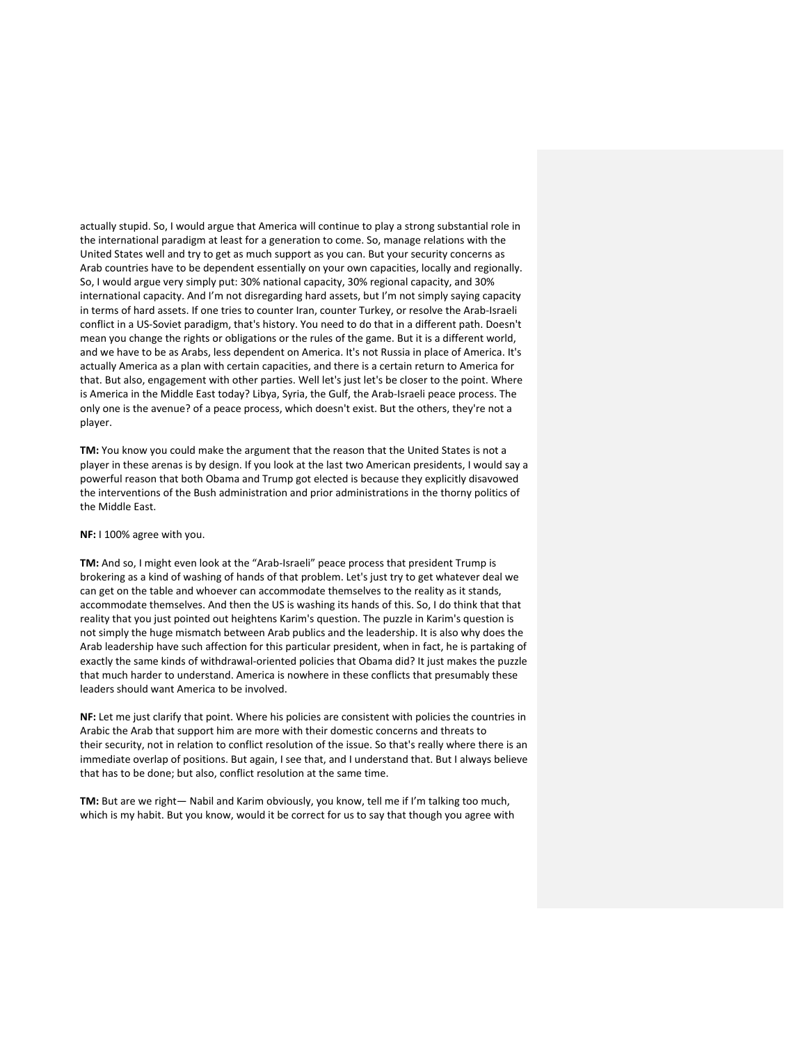actually stupid. So, I would argue that America will continue to play a strong substantial role in the international paradigm at least for a generation to come. So, manage relations with the United States well and try to get as much support as you can. But your security concerns as Arab countries have to be dependent essentially on your own capacities, locally and regionally. So, I would argue very simply put: 30% national capacity, 30% regional capacity, and 30% international capacity. And I'm not disregarding hard assets, but I'm not simply saying capacity in terms of hard assets. If one tries to counter Iran, counter Turkey, or resolve the Arab-Israeli conflict in a US-Soviet paradigm, that's history. You need to do that in a different path. Doesn't mean you change the rights or obligations or the rules of the game. But it is a different world, and we have to be as Arabs, less dependent on America. It's not Russia in place of America. It's actually America as a plan with certain capacities, and there is a certain return to America for that. But also, engagement with other parties. Well let's just let's be closer to the point. Where is America in the Middle East today? Libya, Syria, the Gulf, the Arab-Israeli peace process. The only one is the avenue? of a peace process, which doesn't exist. But the others, they're not a player.

**TM:** You know you could make the argument that the reason that the United States is not a player in these arenas is by design. If you look at the last two American presidents, I would say a powerful reason that both Obama and Trump got elected is because they explicitly disavowed the interventions of the Bush administration and prior administrations in the thorny politics of the Middle East.

## **NF:** I 100% agree with you.

**TM:** And so, I might even look at the "Arab-Israeli" peace process that president Trump is brokering as a kind of washing of hands of that problem. Let's just try to get whatever deal we can get on the table and whoever can accommodate themselves to the reality as it stands, accommodate themselves. And then the US is washing its hands of this. So, I do think that that reality that you just pointed out heightens Karim's question. The puzzle in Karim's question is not simply the huge mismatch between Arab publics and the leadership. It is also why does the Arab leadership have such affection for this particular president, when in fact, he is partaking of exactly the same kinds of withdrawal-oriented policies that Obama did? It just makes the puzzle that much harder to understand. America is nowhere in these conflicts that presumably these leaders should want America to be involved.

**NF:** Let me just clarify that point. Where his policies are consistent with policies the countries in Arabic the Arab that support him are more with their domestic concerns and threats to their security, not in relation to conflict resolution of the issue. So that's really where there is an immediate overlap of positions. But again, I see that, and I understand that. But I always believe that has to be done; but also, conflict resolution at the same time.

**TM:** But are we right— Nabil and Karim obviously, you know, tell me if I'm talking too much, which is my habit. But you know, would it be correct for us to say that though you agree with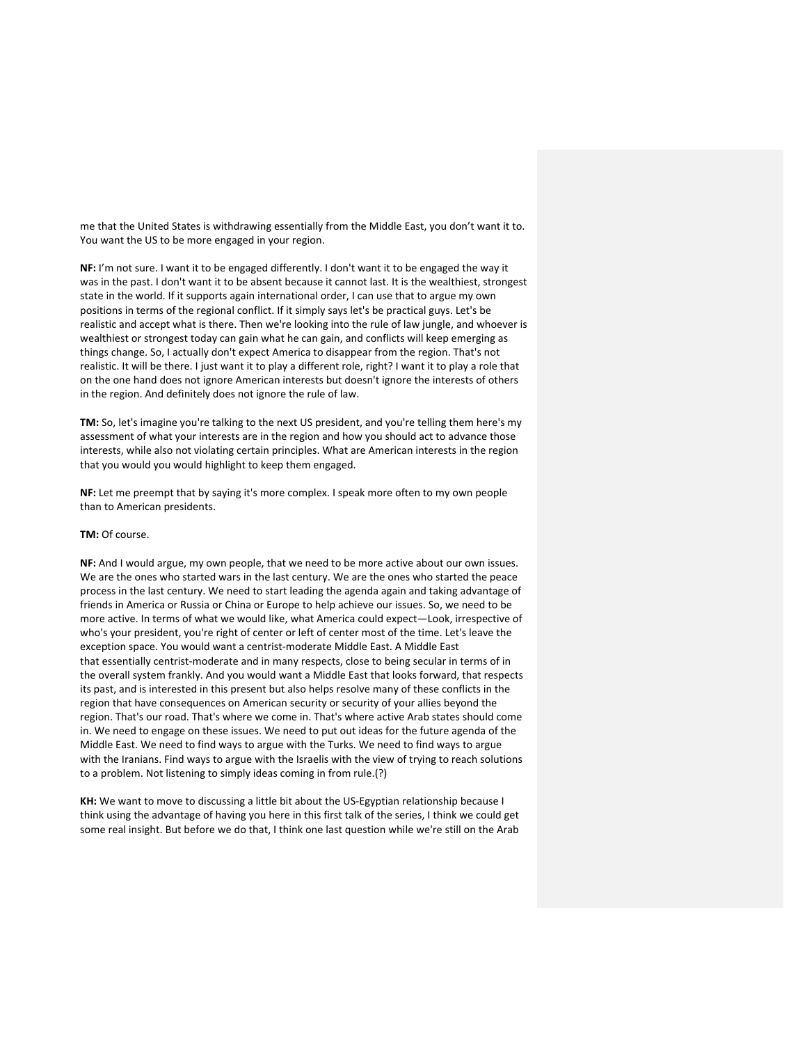me that the United States is withdrawing essentially from the Middle East, you don't want it to. You want the US to be more engaged in your region.

**NF:** I'm not sure. I want it to be engaged differently. I don't want it to be engaged the way it was in the past. I don't want it to be absent because it cannot last. It is the wealthiest, strongest state in the world. If it supports again international order, I can use that to argue my own positions in terms of the regional conflict. If it simply says let's be practical guys. Let's be realistic and accept what is there. Then we're looking into the rule of law jungle, and whoever is wealthiest or strongest today can gain what he can gain, and conflicts will keep emerging as things change. So, I actually don't expect America to disappear from the region. That's not realistic. It will be there. I just want it to play a different role, right? I want it to play a role that on the one hand does not ignore American interests but doesn't ignore the interests of others in the region. And definitely does not ignore the rule of law.

**TM:** So, let's imagine you're talking to the next US president, and you're telling them here's my assessment of what your interests are in the region and how you should act to advance those interests, while also not violating certain principles. What are American interests in the region that you would you would highlight to keep them engaged.

**NF:** Let me preempt that by saying it's more complex. I speak more often to my own people than to American presidents.

## **TM:** Of course.

**NF:** And I would argue, my own people, that we need to be more active about our own issues. We are the ones who started wars in the last century. We are the ones who started the peace process in the last century. We need to start leading the agenda again and taking advantage of friends in America or Russia or China or Europe to help achieve our issues. So, we need to be more active. In terms of what we would like, what America could expect—Look, irrespective of who's your president, you're right of center or left of center most of the time. Let's leave the exception space. You would want a centrist-moderate Middle East. A Middle East that essentially centrist-moderate and in many respects, close to being secular in terms of in the overall system frankly. And you would want a Middle East that looks forward, that respects its past, and is interested in this present but also helps resolve many of these conflicts in the region that have consequences on American security or security of your allies beyond the region. That's our road. That's where we come in. That's where active Arab states should come in. We need to engage on these issues. We need to put out ideas for the future agenda of the Middle East. We need to find ways to argue with the Turks. We need to find ways to argue with the Iranians. Find ways to argue with the Israelis with the view of trying to reach solutions to a problem. Not listening to simply ideas coming in from rule.(?)

**KH:** We want to move to discussing a little bit about the US-Egyptian relationship because I think using the advantage of having you here in this first talk of the series, I think we could get some real insight. But before we do that, I think one last question while we're still on the Arab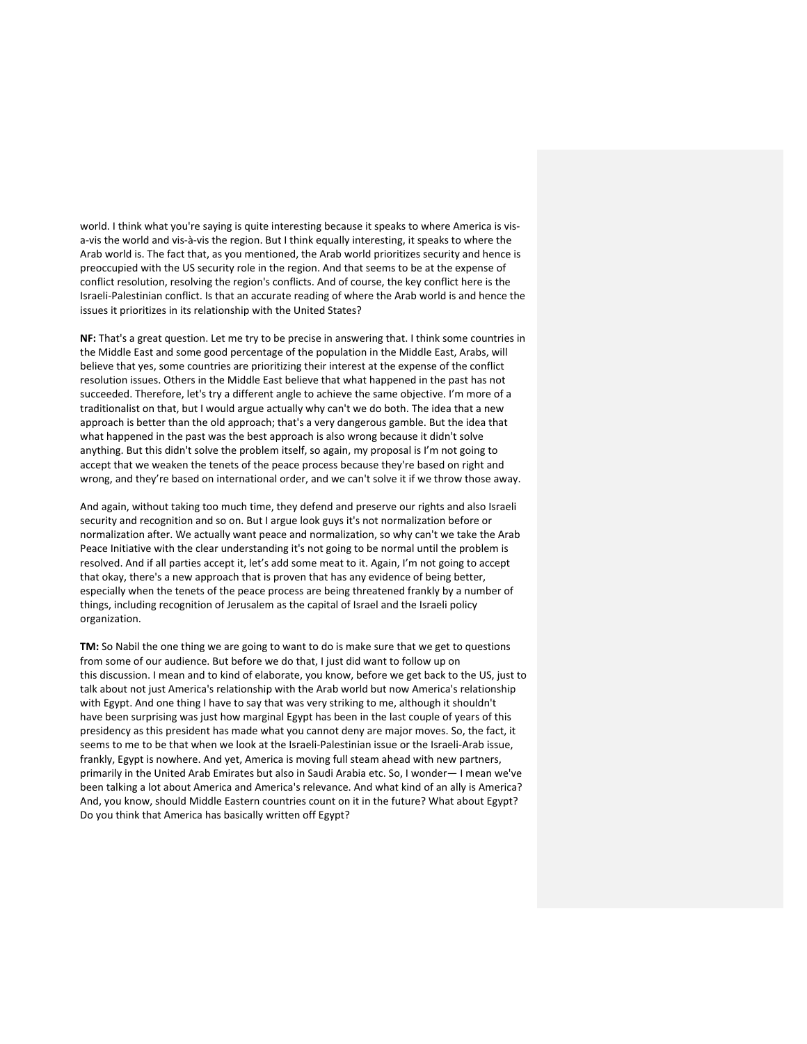world. I think what you're saying is quite interesting because it speaks to where America is visa-vis the world and vis-à-vis the region. But I think equally interesting, it speaks to where the Arab world is. The fact that, as you mentioned, the Arab world prioritizes security and hence is preoccupied with the US security role in the region. And that seems to be at the expense of conflict resolution, resolving the region's conflicts. And of course, the key conflict here is the Israeli-Palestinian conflict. Is that an accurate reading of where the Arab world is and hence the issues it prioritizes in its relationship with the United States?

**NF:** That's a great question. Let me try to be precise in answering that. I think some countries in the Middle East and some good percentage of the population in the Middle East, Arabs, will believe that yes, some countries are prioritizing their interest at the expense of the conflict resolution issues. Others in the Middle East believe that what happened in the past has not succeeded. Therefore, let's try a different angle to achieve the same objective. I'm more of a traditionalist on that, but I would argue actually why can't we do both. The idea that a new approach is better than the old approach; that's a very dangerous gamble. But the idea that what happened in the past was the best approach is also wrong because it didn't solve anything. But this didn't solve the problem itself, so again, my proposal is I'm not going to accept that we weaken the tenets of the peace process because they're based on right and wrong, and they're based on international order, and we can't solve it if we throw those away.

And again, without taking too much time, they defend and preserve our rights and also Israeli security and recognition and so on. But I argue look guys it's not normalization before or normalization after. We actually want peace and normalization, so why can't we take the Arab Peace Initiative with the clear understanding it's not going to be normal until the problem is resolved. And if all parties accept it, let's add some meat to it. Again, I'm not going to accept that okay, there's a new approach that is proven that has any evidence of being better, especially when the tenets of the peace process are being threatened frankly by a number of things, including recognition of Jerusalem as the capital of Israel and the Israeli policy organization.

**TM:** So Nabil the one thing we are going to want to do is make sure that we get to questions from some of our audience. But before we do that, I just did want to follow up on this discussion. I mean and to kind of elaborate, you know, before we get back to the US, just to talk about not just America's relationship with the Arab world but now America's relationship with Egypt. And one thing I have to say that was very striking to me, although it shouldn't have been surprising was just how marginal Egypt has been in the last couple of years of this presidency as this president has made what you cannot deny are major moves. So, the fact, it seems to me to be that when we look at the Israeli-Palestinian issue or the Israeli-Arab issue, frankly, Egypt is nowhere. And yet, America is moving full steam ahead with new partners, primarily in the United Arab Emirates but also in Saudi Arabia etc. So, I wonder— I mean we've been talking a lot about America and America's relevance. And what kind of an ally is America? And, you know, should Middle Eastern countries count on it in the future? What about Egypt? Do you think that America has basically written off Egypt?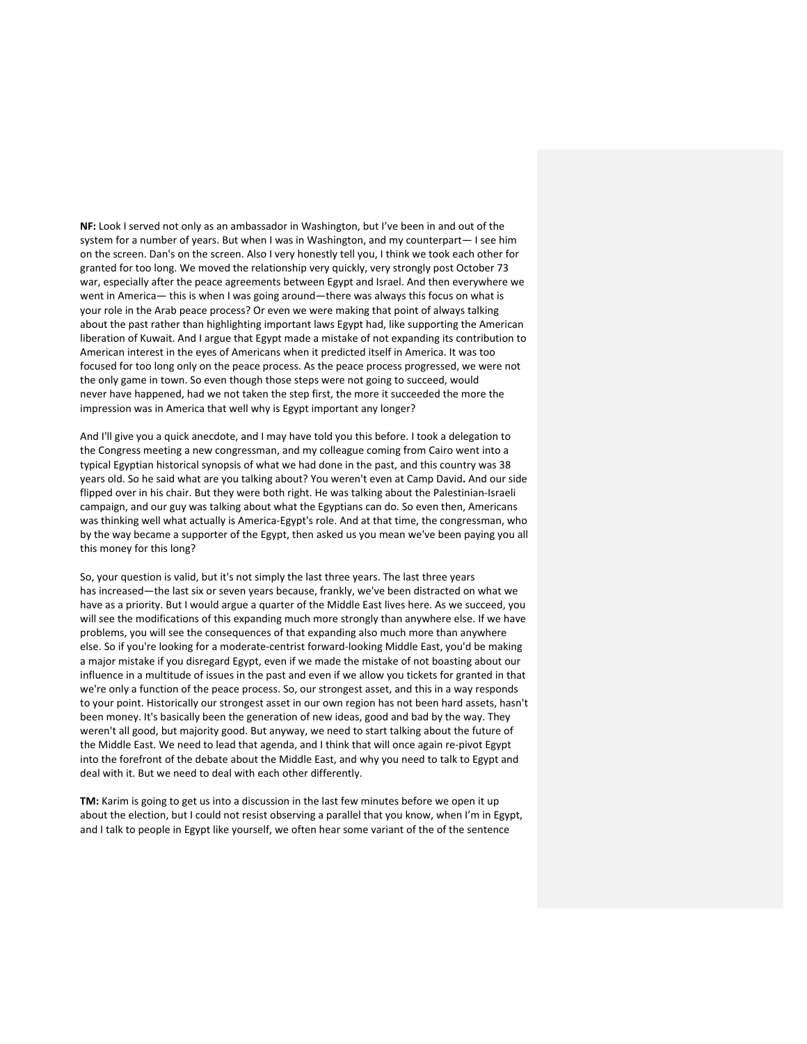**NF:** Look I served not only as an ambassador in Washington, but I've been in and out of the system for a number of years. But when I was in Washington, and my counterpart— I see him on the screen. Dan's on the screen. Also I very honestly tell you, I think we took each other for granted for too long. We moved the relationship very quickly, very strongly post October 73 war, especially after the peace agreements between Egypt and Israel. And then everywhere we went in America— this is when I was going around—there was always this focus on what is your role in the Arab peace process? Or even we were making that point of always talking about the past rather than highlighting important laws Egypt had, like supporting the American liberation of Kuwait. And I argue that Egypt made a mistake of not expanding its contribution to American interest in the eyes of Americans when it predicted itself in America. It was too focused for too long only on the peace process. As the peace process progressed, we were not the only game in town. So even though those steps were not going to succeed, would never have happened, had we not taken the step first, the more it succeeded the more the impression was in America that well why is Egypt important any longer?

And I'll give you a quick anecdote, and I may have told you this before. I took a delegation to the Congress meeting a new congressman, and my colleague coming from Cairo went into a typical Egyptian historical synopsis of what we had done in the past, and this country was 38 years old. So he said what are you talking about? You weren't even at Camp David**.** And our side flipped over in his chair. But they were both right. He was talking about the Palestinian-Israeli campaign, and our guy was talking about what the Egyptians can do. So even then, Americans was thinking well what actually is America-Egypt's role. And at that time, the congressman, who by the way became a supporter of the Egypt, then asked us you mean we've been paying you all this money for this long?

So, your question is valid, but it's not simply the last three years. The last three years has increased—the last six or seven years because, frankly, we've been distracted on what we have as a priority. But I would argue a quarter of the Middle East lives here. As we succeed, you will see the modifications of this expanding much more strongly than anywhere else. If we have problems, you will see the consequences of that expanding also much more than anywhere else. So if you're looking for a moderate-centrist forward-looking Middle East, you'd be making a major mistake if you disregard Egypt, even if we made the mistake of not boasting about our influence in a multitude of issues in the past and even if we allow you tickets for granted in that we're only a function of the peace process. So, our strongest asset, and this in a way responds to your point. Historically our strongest asset in our own region has not been hard assets, hasn't been money. It's basically been the generation of new ideas, good and bad by the way. They weren't all good, but majority good. But anyway, we need to start talking about the future of the Middle East. We need to lead that agenda, and I think that will once again re-pivot Egypt into the forefront of the debate about the Middle East, and why you need to talk to Egypt and deal with it. But we need to deal with each other differently.

**TM:** Karim is going to get us into a discussion in the last few minutes before we open it up about the election, but I could not resist observing a parallel that you know, when I'm in Egypt, and I talk to people in Egypt like yourself, we often hear some variant of the of the sentence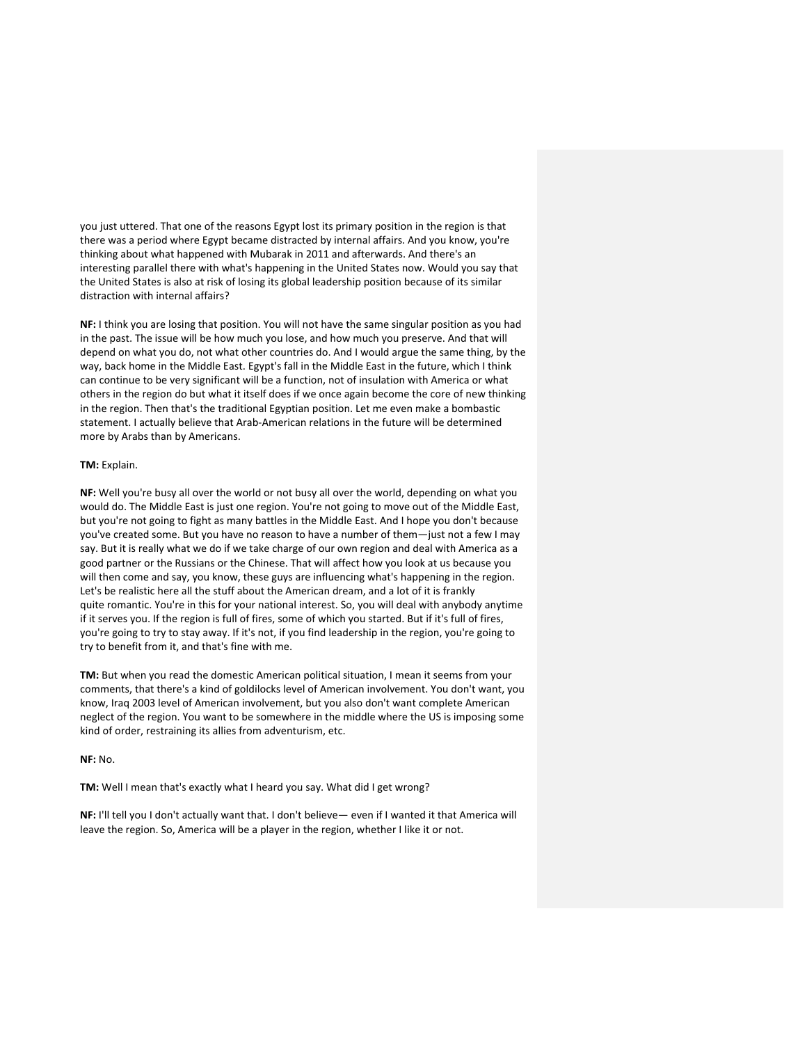you just uttered. That one of the reasons Egypt lost its primary position in the region is that there was a period where Egypt became distracted by internal affairs. And you know, you're thinking about what happened with Mubarak in 2011 and afterwards. And there's an interesting parallel there with what's happening in the United States now. Would you say that the United States is also at risk of losing its global leadership position because of its similar distraction with internal affairs?

**NF:** I think you are losing that position. You will not have the same singular position as you had in the past. The issue will be how much you lose, and how much you preserve. And that will depend on what you do, not what other countries do. And I would argue the same thing, by the way, back home in the Middle East. Egypt's fall in the Middle East in the future, which I think can continue to be very significant will be a function, not of insulation with America or what others in the region do but what it itself does if we once again become the core of new thinking in the region. Then that's the traditional Egyptian position. Let me even make a bombastic statement. I actually believe that Arab-American relations in the future will be determined more by Arabs than by Americans.

## **TM:** Explain.

**NF:** Well you're busy all over the world or not busy all over the world, depending on what you would do. The Middle East is just one region. You're not going to move out of the Middle East, but you're not going to fight as many battles in the Middle East. And I hope you don't because you've created some. But you have no reason to have a number of them—just not a few I may say. But it is really what we do if we take charge of our own region and deal with America as a good partner or the Russians or the Chinese. That will affect how you look at us because you will then come and say, you know, these guys are influencing what's happening in the region. Let's be realistic here all the stuff about the American dream, and a lot of it is frankly quite romantic. You're in this for your national interest. So, you will deal with anybody anytime if it serves you. If the region is full of fires, some of which you started. But if it's full of fires, you're going to try to stay away. If it's not, if you find leadership in the region, you're going to try to benefit from it, and that's fine with me.

**TM:** But when you read the domestic American political situation, I mean it seems from your comments, that there's a kind of goldilocks level of American involvement. You don't want, you know, Iraq 2003 level of American involvement, but you also don't want complete American neglect of the region. You want to be somewhere in the middle where the US is imposing some kind of order, restraining its allies from adventurism, etc.

# **NF:** No.

**TM:** Well I mean that's exactly what I heard you say. What did I get wrong?

**NF:** I'll tell you I don't actually want that. I don't believe— even if I wanted it that America will leave the region. So, America will be a player in the region, whether I like it or not.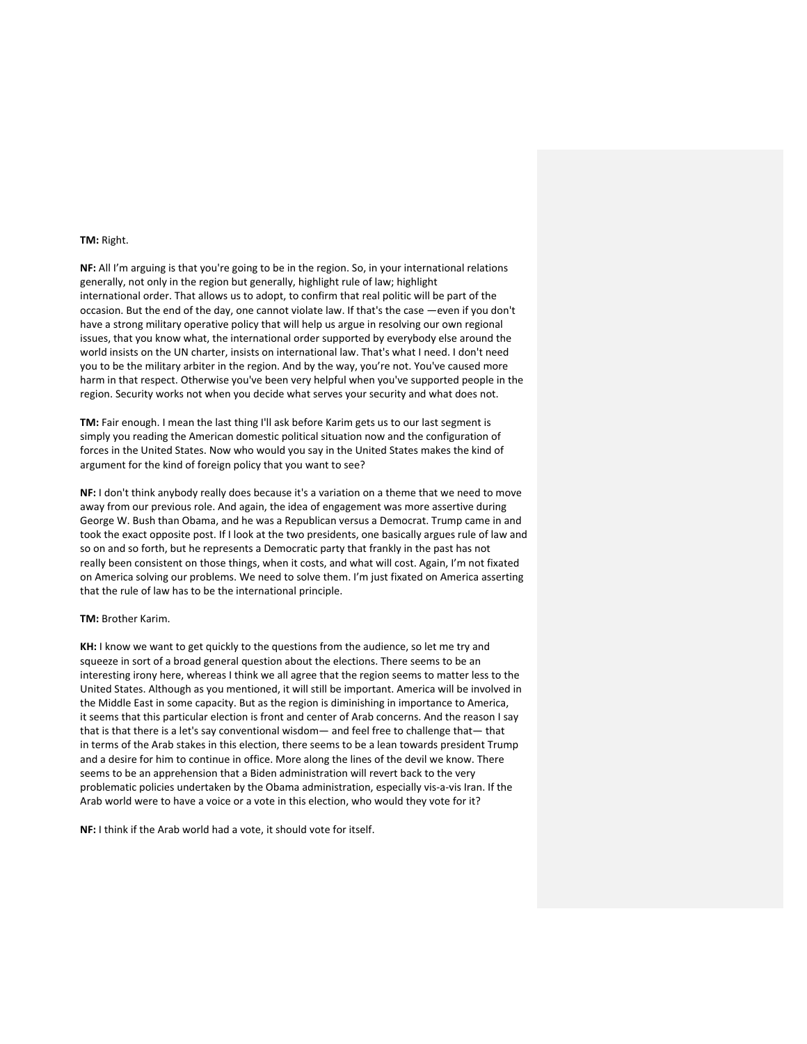## **TM:** Right.

**NF:** All I'm arguing is that you're going to be in the region. So, in your international relations generally, not only in the region but generally, highlight rule of law; highlight international order. That allows us to adopt, to confirm that real politic will be part of the occasion. But the end of the day, one cannot violate law. If that's the case —even if you don't have a strong military operative policy that will help us argue in resolving our own regional issues, that you know what, the international order supported by everybody else around the world insists on the UN charter, insists on international law. That's what I need. I don't need you to be the military arbiter in the region. And by the way, you're not. You've caused more harm in that respect. Otherwise you've been very helpful when you've supported people in the region. Security works not when you decide what serves your security and what does not.

**TM:** Fair enough. I mean the last thing I'll ask before Karim gets us to our last segment is simply you reading the American domestic political situation now and the configuration of forces in the United States. Now who would you say in the United States makes the kind of argument for the kind of foreign policy that you want to see?

**NF:** I don't think anybody really does because it's a variation on a theme that we need to move away from our previous role. And again, the idea of engagement was more assertive during George W. Bush than Obama, and he was a Republican versus a Democrat. Trump came in and took the exact opposite post. If I look at the two presidents, one basically argues rule of law and so on and so forth, but he represents a Democratic party that frankly in the past has not really been consistent on those things, when it costs, and what will cost. Again, I'm not fixated on America solving our problems. We need to solve them. I'm just fixated on America asserting that the rule of law has to be the international principle.

### **TM:** Brother Karim.

**KH:** I know we want to get quickly to the questions from the audience, so let me try and squeeze in sort of a broad general question about the elections. There seems to be an interesting irony here, whereas I think we all agree that the region seems to matter less to the United States. Although as you mentioned, it will still be important. America will be involved in the Middle East in some capacity. But as the region is diminishing in importance to America, it seems that this particular election is front and center of Arab concerns. And the reason I say that is that there is a let's say conventional wisdom— and feel free to challenge that— that in terms of the Arab stakes in this election, there seems to be a lean towards president Trump and a desire for him to continue in office. More along the lines of the devil we know. There seems to be an apprehension that a Biden administration will revert back to the very problematic policies undertaken by the Obama administration, especially vis-a-vis Iran. If the Arab world were to have a voice or a vote in this election, who would they vote for it?

**NF:** I think if the Arab world had a vote, it should vote for itself.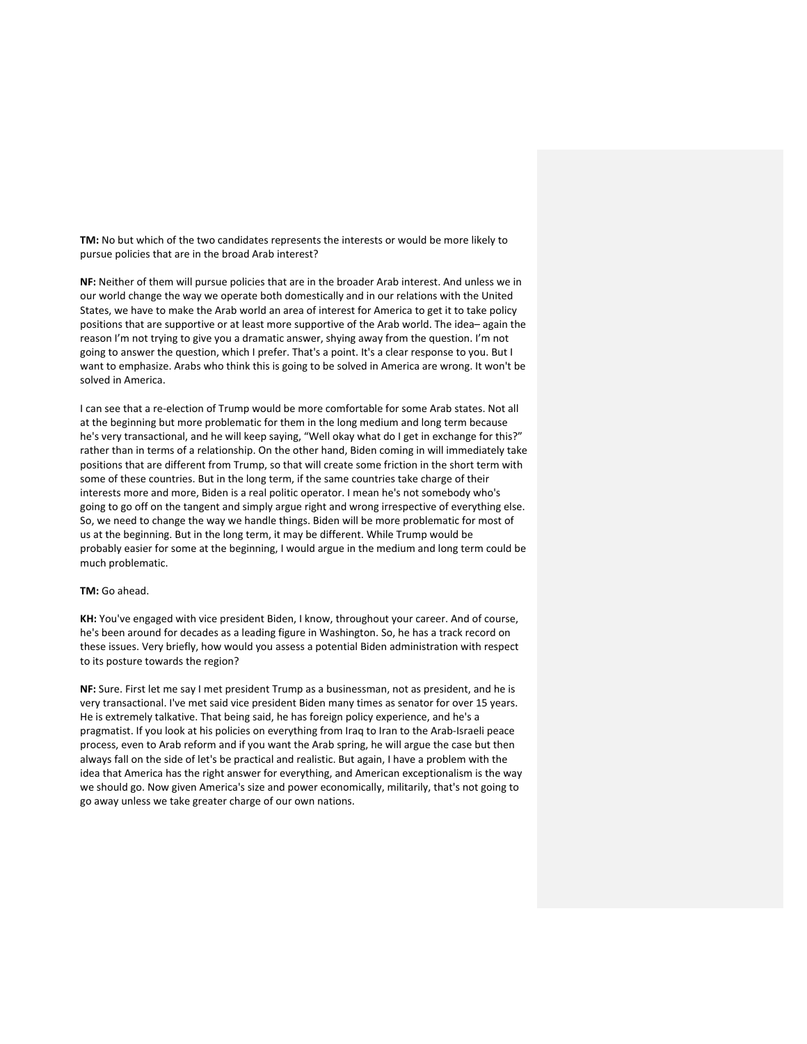**TM:** No but which of the two candidates represents the interests or would be more likely to pursue policies that are in the broad Arab interest?

**NF:** Neither of them will pursue policies that are in the broader Arab interest. And unless we in our world change the way we operate both domestically and in our relations with the United States, we have to make the Arab world an area of interest for America to get it to take policy positions that are supportive or at least more supportive of the Arab world. The idea– again the reason I'm not trying to give you a dramatic answer, shying away from the question. I'm not going to answer the question, which I prefer. That's a point. It's a clear response to you. But I want to emphasize. Arabs who think this is going to be solved in America are wrong. It won't be solved in America.

I can see that a re-election of Trump would be more comfortable for some Arab states. Not all at the beginning but more problematic for them in the long medium and long term because he's very transactional, and he will keep saying, "Well okay what do I get in exchange for this?" rather than in terms of a relationship. On the other hand, Biden coming in will immediately take positions that are different from Trump, so that will create some friction in the short term with some of these countries. But in the long term, if the same countries take charge of their interests more and more, Biden is a real politic operator. I mean he's not somebody who's going to go off on the tangent and simply argue right and wrong irrespective of everything else. So, we need to change the way we handle things. Biden will be more problematic for most of us at the beginning. But in the long term, it may be different. While Trump would be probably easier for some at the beginning, I would argue in the medium and long term could be much problematic.

#### **TM:** Go ahead.

**KH:** You've engaged with vice president Biden, I know, throughout your career. And of course, he's been around for decades as a leading figure in Washington. So, he has a track record on these issues. Very briefly, how would you assess a potential Biden administration with respect to its posture towards the region?

**NF:** Sure. First let me say I met president Trump as a businessman, not as president, and he is very transactional. I've met said vice president Biden many times as senator for over 15 years. He is extremely talkative. That being said, he has foreign policy experience, and he's a pragmatist. If you look at his policies on everything from Iraq to Iran to the Arab-Israeli peace process, even to Arab reform and if you want the Arab spring, he will argue the case but then always fall on the side of let's be practical and realistic. But again, I have a problem with the idea that America has the right answer for everything, and American exceptionalism is the way we should go. Now given America's size and power economically, militarily, that's not going to go away unless we take greater charge of our own nations.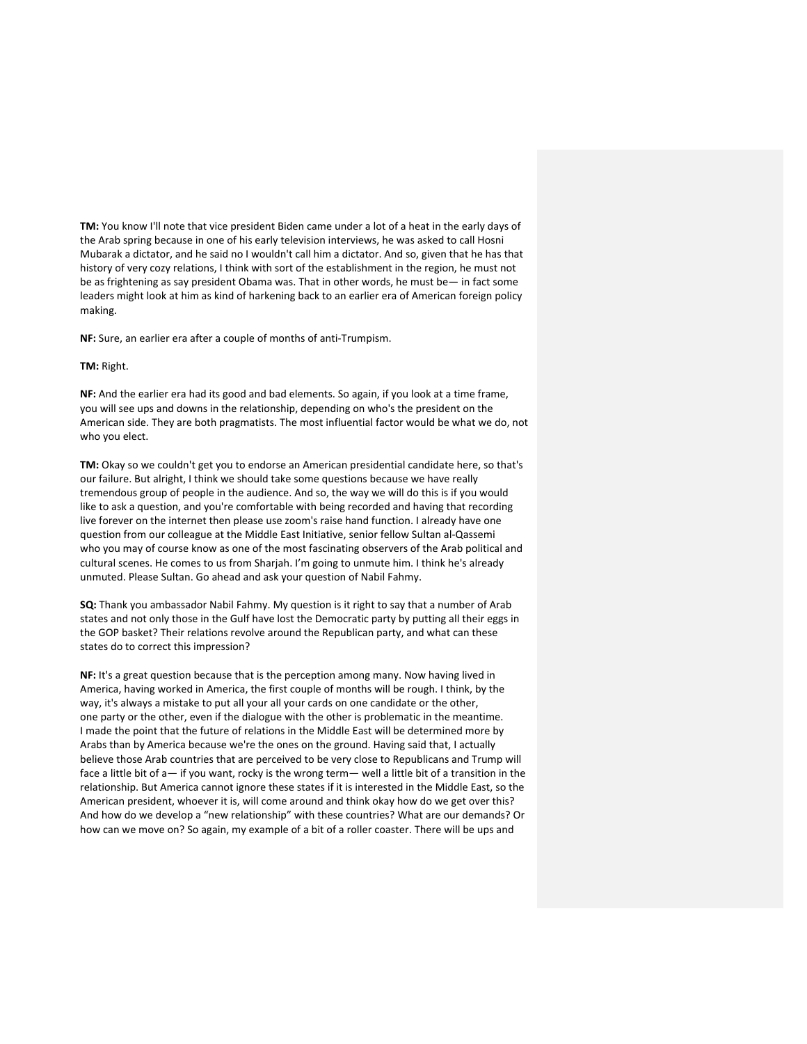**TM:** You know I'll note that vice president Biden came under a lot of a heat in the early days of the Arab spring because in one of his early television interviews, he was asked to call Hosni Mubarak a dictator, and he said no I wouldn't call him a dictator. And so, given that he has that history of very cozy relations, I think with sort of the establishment in the region, he must not be as frightening as say president Obama was. That in other words, he must be— in fact some leaders might look at him as kind of harkening back to an earlier era of American foreign policy making.

**NF:** Sure, an earlier era after a couple of months of anti-Trumpism.

### **TM:** Right.

**NF:** And the earlier era had its good and bad elements. So again, if you look at a time frame, you will see ups and downs in the relationship, depending on who's the president on the American side. They are both pragmatists. The most influential factor would be what we do, not who you elect.

**TM:** Okay so we couldn't get you to endorse an American presidential candidate here, so that's our failure. But alright, I think we should take some questions because we have really tremendous group of people in the audience. And so, the way we will do this is if you would like to ask a question, and you're comfortable with being recorded and having that recording live forever on the internet then please use zoom's raise hand function. I already have one question from our colleague at the Middle East Initiative, senior fellow Sultan al-Qassemi who you may of course know as one of the most fascinating observers of the Arab political and cultural scenes. He comes to us from Sharjah. I'm going to unmute him. I think he's already unmuted. Please Sultan. Go ahead and ask your question of Nabil Fahmy.

**SQ:** Thank you ambassador Nabil Fahmy. My question is it right to say that a number of Arab states and not only those in the Gulf have lost the Democratic party by putting all their eggs in the GOP basket? Their relations revolve around the Republican party, and what can these states do to correct this impression?

**NF:** It's a great question because that is the perception among many. Now having lived in America, having worked in America, the first couple of months will be rough. I think, by the way, it's always a mistake to put all your all your cards on one candidate or the other, one party or the other, even if the dialogue with the other is problematic in the meantime. I made the point that the future of relations in the Middle East will be determined more by Arabs than by America because we're the ones on the ground. Having said that, I actually believe those Arab countries that are perceived to be very close to Republicans and Trump will face a little bit of a— if you want, rocky is the wrong term— well a little bit of a transition in the relationship. But America cannot ignore these states if it is interested in the Middle East, so the American president, whoever it is, will come around and think okay how do we get over this? And how do we develop a "new relationship" with these countries? What are our demands? Or how can we move on? So again, my example of a bit of a roller coaster. There will be ups and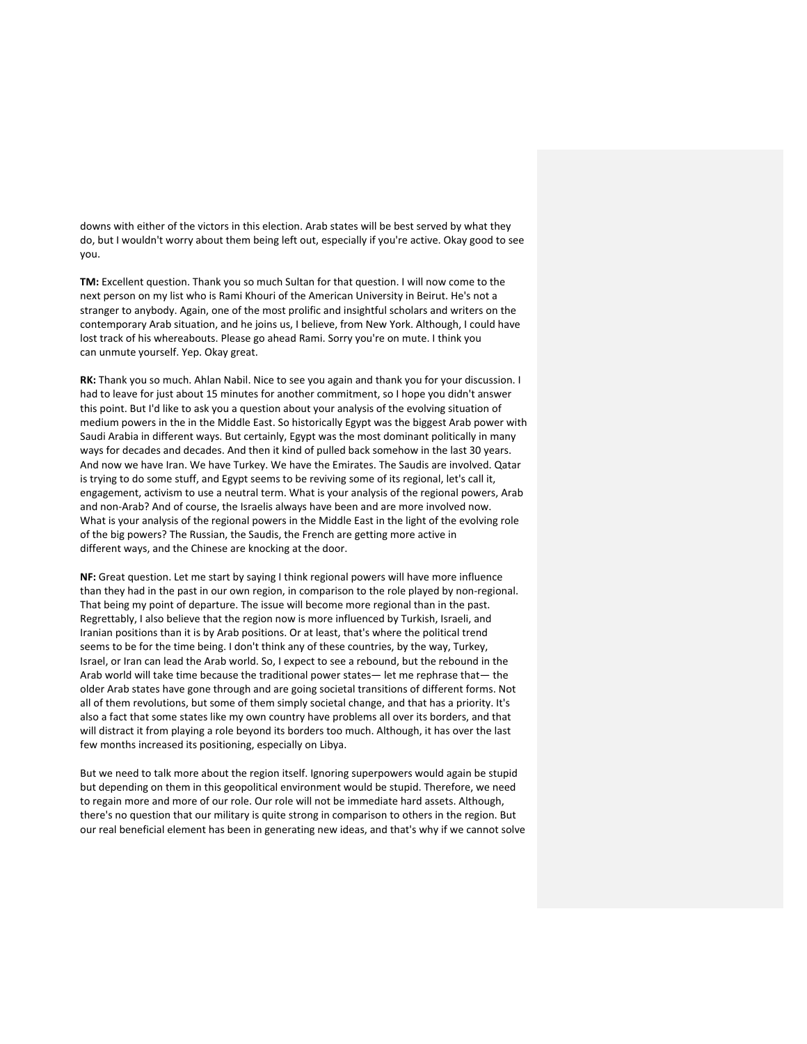downs with either of the victors in this election. Arab states will be best served by what they do, but I wouldn't worry about them being left out, especially if you're active. Okay good to see you.

**TM:** Excellent question. Thank you so much Sultan for that question. I will now come to the next person on my list who is Rami Khouri of the American University in Beirut. He's not a stranger to anybody. Again, one of the most prolific and insightful scholars and writers on the contemporary Arab situation, and he joins us, I believe, from New York. Although, I could have lost track of his whereabouts. Please go ahead Rami. Sorry you're on mute. I think you can unmute yourself. Yep. Okay great.

**RK:** Thank you so much. Ahlan Nabil. Nice to see you again and thank you for your discussion. I had to leave for just about 15 minutes for another commitment, so I hope you didn't answer this point. But I'd like to ask you a question about your analysis of the evolving situation of medium powers in the in the Middle East. So historically Egypt was the biggest Arab power with Saudi Arabia in different ways. But certainly, Egypt was the most dominant politically in many ways for decades and decades. And then it kind of pulled back somehow in the last 30 years. And now we have Iran. We have Turkey. We have the Emirates. The Saudis are involved. Qatar is trying to do some stuff, and Egypt seems to be reviving some of its regional, let's call it, engagement, activism to use a neutral term. What is your analysis of the regional powers, Arab and non-Arab? And of course, the Israelis always have been and are more involved now. What is your analysis of the regional powers in the Middle East in the light of the evolving role of the big powers? The Russian, the Saudis, the French are getting more active in different ways, and the Chinese are knocking at the door.

**NF:** Great question. Let me start by saying I think regional powers will have more influence than they had in the past in our own region, in comparison to the role played by non-regional. That being my point of departure. The issue will become more regional than in the past. Regrettably, I also believe that the region now is more influenced by Turkish, Israeli, and Iranian positions than it is by Arab positions. Or at least, that's where the political trend seems to be for the time being. I don't think any of these countries, by the way, Turkey, Israel, or Iran can lead the Arab world. So, I expect to see a rebound, but the rebound in the Arab world will take time because the traditional power states— let me rephrase that— the older Arab states have gone through and are going societal transitions of different forms. Not all of them revolutions, but some of them simply societal change, and that has a priority. It's also a fact that some states like my own country have problems all over its borders, and that will distract it from playing a role beyond its borders too much. Although, it has over the last few months increased its positioning, especially on Libya.

But we need to talk more about the region itself. Ignoring superpowers would again be stupid but depending on them in this geopolitical environment would be stupid. Therefore, we need to regain more and more of our role. Our role will not be immediate hard assets. Although, there's no question that our military is quite strong in comparison to others in the region. But our real beneficial element has been in generating new ideas, and that's why if we cannot solve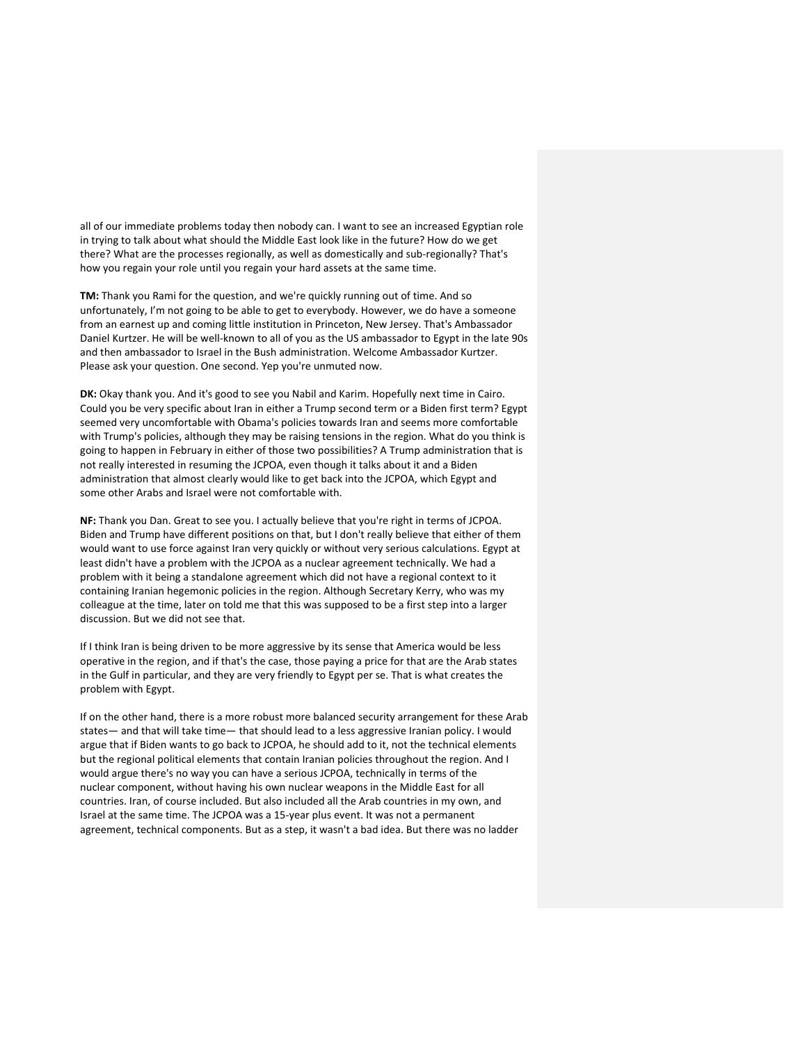all of our immediate problems today then nobody can. I want to see an increased Egyptian role in trying to talk about what should the Middle East look like in the future? How do we get there? What are the processes regionally, as well as domestically and sub-regionally? That's how you regain your role until you regain your hard assets at the same time.

**TM:** Thank you Rami for the question, and we're quickly running out of time. And so unfortunately, I'm not going to be able to get to everybody. However, we do have a someone from an earnest up and coming little institution in Princeton, New Jersey. That's Ambassador Daniel Kurtzer. He will be well-known to all of you as the US ambassador to Egypt in the late 90s and then ambassador to Israel in the Bush administration. Welcome Ambassador Kurtzer. Please ask your question. One second. Yep you're unmuted now.

**DK:** Okay thank you. And it's good to see you Nabil and Karim. Hopefully next time in Cairo. Could you be very specific about Iran in either a Trump second term or a Biden first term? Egypt seemed very uncomfortable with Obama's policies towards Iran and seems more comfortable with Trump's policies, although they may be raising tensions in the region. What do you think is going to happen in February in either of those two possibilities? A Trump administration that is not really interested in resuming the JCPOA, even though it talks about it and a Biden administration that almost clearly would like to get back into the JCPOA, which Egypt and some other Arabs and Israel were not comfortable with.

**NF:** Thank you Dan. Great to see you. I actually believe that you're right in terms of JCPOA. Biden and Trump have different positions on that, but I don't really believe that either of them would want to use force against Iran very quickly or without very serious calculations. Egypt at least didn't have a problem with the JCPOA as a nuclear agreement technically. We had a problem with it being a standalone agreement which did not have a regional context to it containing Iranian hegemonic policies in the region. Although Secretary Kerry, who was my colleague at the time, later on told me that this was supposed to be a first step into a larger discussion. But we did not see that.

If I think Iran is being driven to be more aggressive by its sense that America would be less operative in the region, and if that's the case, those paying a price for that are the Arab states in the Gulf in particular, and they are very friendly to Egypt per se. That is what creates the problem with Egypt.

If on the other hand, there is a more robust more balanced security arrangement for these Arab states— and that will take time— that should lead to a less aggressive Iranian policy. I would argue that if Biden wants to go back to JCPOA, he should add to it, not the technical elements but the regional political elements that contain Iranian policies throughout the region. And I would argue there's no way you can have a serious JCPOA, technically in terms of the nuclear component, without having his own nuclear weapons in the Middle East for all countries. Iran, of course included. But also included all the Arab countries in my own, and Israel at the same time. The JCPOA was a 15-year plus event. It was not a permanent agreement, technical components. But as a step, it wasn't a bad idea. But there was no ladder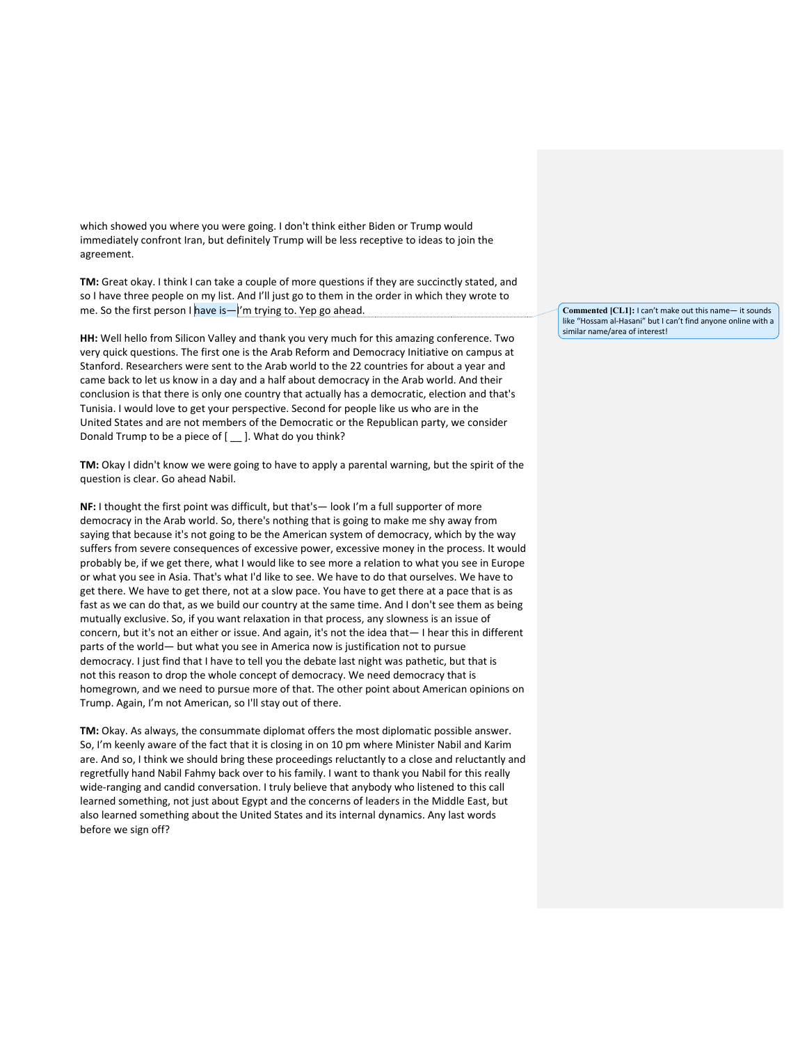which showed you where you were going. I don't think either Biden or Trump would immediately confront Iran, but definitely Trump will be less receptive to ideas to join the agreement.

**TM:** Great okay. I think I can take a couple of more questions if they are succinctly stated, and so I have three people on my list. And I'll just go to them in the order in which they wrote to me. So the first person I have is— $I'$ m trying to. Yep go ahead.

**HH:** Well hello from Silicon Valley and thank you very much for this amazing conference. Two very quick questions. The first one is the Arab Reform and Democracy Initiative on campus at Stanford. Researchers were sent to the Arab world to the 22 countries for about a year and came back to let us know in a day and a half about democracy in the Arab world. And their conclusion is that there is only one country that actually has a democratic, election and that's Tunisia. I would love to get your perspective. Second for people like us who are in the United States and are not members of the Democratic or the Republican party, we consider Donald Trump to be a piece of [ \_\_ ]. What do you think?

**TM:** Okay I didn't know we were going to have to apply a parental warning, but the spirit of the question is clear. Go ahead Nabil.

**NF:** I thought the first point was difficult, but that's— look I'm a full supporter of more democracy in the Arab world. So, there's nothing that is going to make me shy away from saying that because it's not going to be the American system of democracy, which by the way suffers from severe consequences of excessive power, excessive money in the process. It would probably be, if we get there, what I would like to see more a relation to what you see in Europe or what you see in Asia. That's what I'd like to see. We have to do that ourselves. We have to get there. We have to get there, not at a slow pace. You have to get there at a pace that is as fast as we can do that, as we build our country at the same time. And I don't see them as being mutually exclusive. So, if you want relaxation in that process, any slowness is an issue of concern, but it's not an either or issue. And again, it's not the idea that— I hear this in different parts of the world— but what you see in America now is justification not to pursue democracy. I just find that I have to tell you the debate last night was pathetic, but that is not this reason to drop the whole concept of democracy. We need democracy that is homegrown, and we need to pursue more of that. The other point about American opinions on Trump. Again, I'm not American, so I'll stay out of there.

**TM:** Okay. As always, the consummate diplomat offers the most diplomatic possible answer. So, I'm keenly aware of the fact that it is closing in on 10 pm where Minister Nabil and Karim are. And so, I think we should bring these proceedings reluctantly to a close and reluctantly and regretfully hand Nabil Fahmy back over to his family. I want to thank you Nabil for this really wide-ranging and candid conversation. I truly believe that anybody who listened to this call learned something, not just about Egypt and the concerns of leaders in the Middle East, but also learned something about the United States and its internal dynamics. Any last words before we sign off?

**Commented [CL1]:** I can't make out this name— it sounds like "Hossam al-Hasani" but I can't find anyone online with a similar name/area of interest!